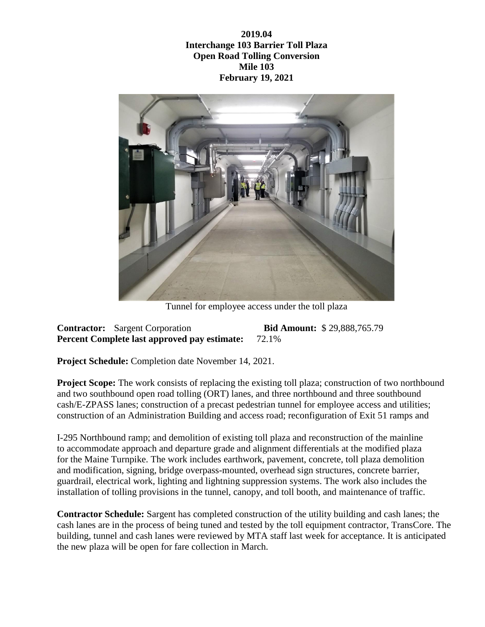**2019.04 Interchange 103 Barrier Toll Plaza Open Road Tolling Conversion Mile 103 February 19, 2021**



Tunnel for employee access under the toll plaza

**Contractor:** Sargent Corporation **Bid Amount:** \$ 29,888,765.79 **Percent Complete last approved pay estimate:** 72.1%

**Project Schedule:** Completion date November 14, 2021.

**Project Scope:** The work consists of replacing the existing toll plaza; construction of two northbound and two southbound open road tolling (ORT) lanes, and three northbound and three southbound cash/E-ZPASS lanes; construction of a precast pedestrian tunnel for employee access and utilities; construction of an Administration Building and access road; reconfiguration of Exit 51 ramps and

I-295 Northbound ramp; and demolition of existing toll plaza and reconstruction of the mainline to accommodate approach and departure grade and alignment differentials at the modified plaza for the Maine Turnpike. The work includes earthwork, pavement, concrete, toll plaza demolition and modification, signing, bridge overpass-mounted, overhead sign structures, concrete barrier, guardrail, electrical work, lighting and lightning suppression systems. The work also includes the installation of tolling provisions in the tunnel, canopy, and toll booth, and maintenance of traffic.

**Contractor Schedule:** Sargent has completed construction of the utility building and cash lanes; the cash lanes are in the process of being tuned and tested by the toll equipment contractor, TransCore. The building, tunnel and cash lanes were reviewed by MTA staff last week for acceptance. It is anticipated the new plaza will be open for fare collection in March.